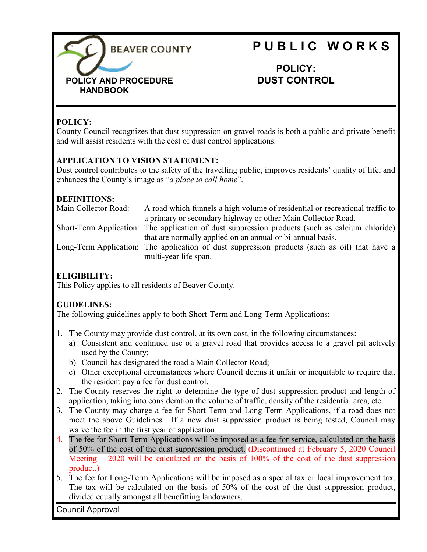

# **P U B L I C W O R K S**

**POLICY: DUST CONTROL**

## **POLICY:**

County Council recognizes that dust suppression on gravel roads is both a public and private benefit and will assist residents with the cost of dust control applications.

### **APPLICATION TO VISION STATEMENT:**

Dust control contributes to the safety of the travelling public, improves residents' quality of life, and enhances the County's image as "*a place to call home*".

### **DEFINITIONS:**

| Main Collector Road: | A road which funnels a high volume of residential or recreational traffic to                    |
|----------------------|-------------------------------------------------------------------------------------------------|
|                      | a primary or secondary highway or other Main Collector Road.                                    |
|                      | Short-Term Application: The application of dust suppression products (such as calcium chloride) |
|                      | that are normally applied on an annual or bi-annual basis.                                      |
|                      | Long-Term Application: The application of dust suppression products (such as oil) that have a   |
|                      | multi-year life span.                                                                           |

# **ELIGIBILITY:**

This Policy applies to all residents of Beaver County.

## **GUIDELINES:**

The following guidelines apply to both Short-Term and Long-Term Applications:

- 1. The County may provide dust control, at its own cost, in the following circumstances:
	- a) Consistent and continued use of a gravel road that provides access to a gravel pit actively used by the County;
	- b) Council has designated the road a Main Collector Road;
	- c) Other exceptional circumstances where Council deems it unfair or inequitable to require that the resident pay a fee for dust control.
- 2. The County reserves the right to determine the type of dust suppression product and length of application, taking into consideration the volume of traffic, density of the residential area, etc.
- 3. The County may charge a fee for Short-Term and Long-Term Applications, if a road does not meet the above Guidelines. If a new dust suppression product is being tested, Council may waive the fee in the first year of application.
- 4. The fee for Short-Term Applications will be imposed as a fee-for-service, calculated on the basis of 50% of the cost of the dust suppression product. (Discontinued at February 5, 2020 Council Meeting – 2020 will be calculated on the basis of 100% of the cost of the dust suppression product.)
- 5. The fee for Long-Term Applications will be imposed as a special tax or local improvement tax. The tax will be calculated on the basis of 50% of the cost of the dust suppression product, divided equally amongst all benefitting landowners.

Council Approval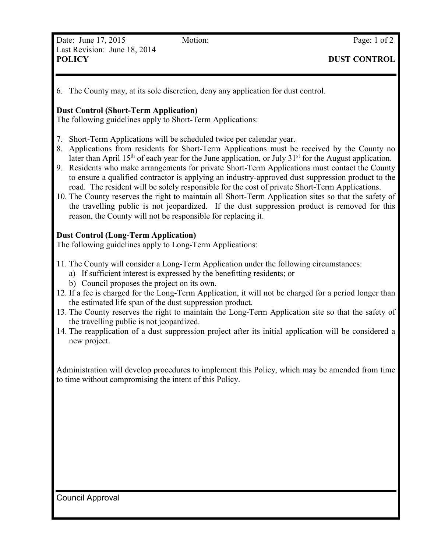6. The County may, at its sole discretion, deny any application for dust control.

#### **Dust Control (Short-Term Application)**

The following guidelines apply to Short-Term Applications:

- 7. Short-Term Applications will be scheduled twice per calendar year.
- 8. Applications from residents for Short-Term Applications must be received by the County no later than April 15<sup>th</sup> of each year for the June application, or July  $31<sup>st</sup>$  for the August application.
- 9. Residents who make arrangements for private Short-Term Applications must contact the County to ensure a qualified contractor is applying an industry-approved dust suppression product to the road. The resident will be solely responsible for the cost of private Short-Term Applications.
- 10. The County reserves the right to maintain all Short-Term Application sites so that the safety of the travelling public is not jeopardized. If the dust suppression product is removed for this reason, the County will not be responsible for replacing it.

#### **Dust Control (Long-Term Application)**

The following guidelines apply to Long-Term Applications:

- 11. The County will consider a Long-Term Application under the following circumstances:
	- a) If sufficient interest is expressed by the benefitting residents; or
	- b) Council proposes the project on its own.
- 12. If a fee is charged for the Long-Term Application, it will not be charged for a period longer than the estimated life span of the dust suppression product.
- 13. The County reserves the right to maintain the Long-Term Application site so that the safety of the travelling public is not jeopardized.
- 14. The reapplication of a dust suppression project after its initial application will be considered a new project.

Administration will develop procedures to implement this Policy, which may be amended from time to time without compromising the intent of this Policy.